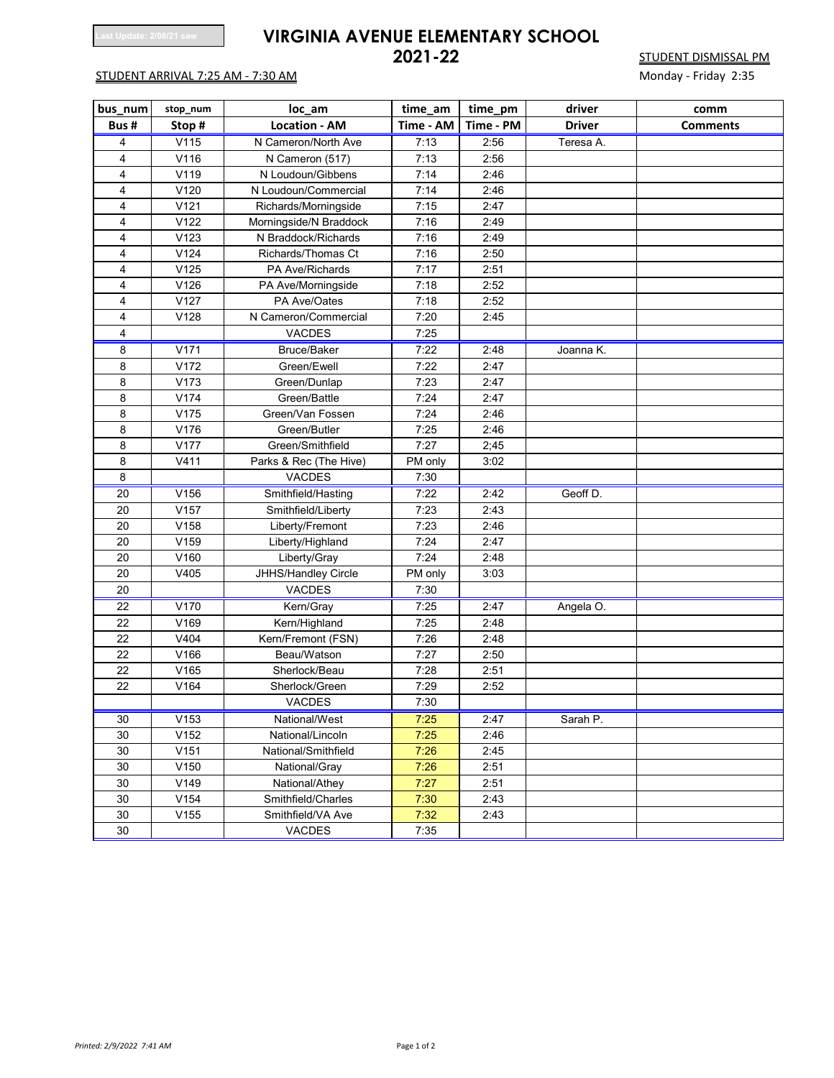## **Last Update: 2/08/21 saw <b>VIRGINIA AVENUE ELEMENTARY SCHOOL**<br>2021-22

## STUDENT ARRIVAL 7:25 AM - 7:30 AM

**2021-2231-2231-2235**<br>Monday - Friday 2:35

| bus_num | stop_num | loc_am                 | time_am           | time_pm   | driver        | comm            |
|---------|----------|------------------------|-------------------|-----------|---------------|-----------------|
| Bus#    | Stop#    | <b>Location - AM</b>   | Time - AM         | Time - PM | <b>Driver</b> | <b>Comments</b> |
| 4       | V115     | N Cameron/North Ave    | 7:13              | 2:56      | Teresa A.     |                 |
| 4       | V116     | N Cameron (517)        | 7:13              | 2:56      |               |                 |
| 4       | V119     | N Loudoun/Gibbens      | 7:14              | 2:46      |               |                 |
| 4       | V120     | N Loudoun/Commercial   | 7:14              | 2:46      |               |                 |
| 4       | V121     | Richards/Morningside   | 7:15              | 2:47      |               |                 |
| 4       | V122     | Morningside/N Braddock | 7:16              | 2:49      |               |                 |
| 4       | V123     | N Braddock/Richards    | 7:16              | 2:49      |               |                 |
| 4       | V124     | Richards/Thomas Ct     | 7:16              | 2:50      |               |                 |
| 4       | V125     | PA Ave/Richards        | 7:17              | 2:51      |               |                 |
| 4       | V126     | PA Ave/Morningside     | 7:18              | 2:52      |               |                 |
| 4       | V127     | PA Ave/Oates           | 7:18              | 2:52      |               |                 |
| 4       | V128     | N Cameron/Commercial   | 7:20              | 2:45      |               |                 |
| 4       |          | VACDES                 | 7:25              |           |               |                 |
| 8       | V171     | Bruce/Baker            | 7:22              | 2:48      | Joanna K.     |                 |
| 8       | V172     | Green/Ewell            | 7:22              | 2:47      |               |                 |
| 8       | V173     | Green/Dunlap           | 7:23              | 2:47      |               |                 |
| 8       | V174     | Green/Battle           | 7:24              | 2:47      |               |                 |
| 8       | V175     | Green/Van Fossen       | 7:24              | 2:46      |               |                 |
| 8       | V176     | Green/Butler           | 7:25              | 2:46      |               |                 |
| 8       | V177     | Green/Smithfield       | 7:27              | 2,45      |               |                 |
| 8       | V411     | Parks & Rec (The Hive) | PM only           | 3:02      |               |                 |
| 8       |          | VACDES                 | 7:30              |           |               |                 |
| 20      | V156     | Smithfield/Hasting     | 7:22              | 2:42      | Geoff D.      |                 |
| 20      | V157     | Smithfield/Liberty     | 7:23              | 2:43      |               |                 |
| 20      | V158     | Liberty/Fremont        | 7:23              | 2:46      |               |                 |
| 20      | V159     | Liberty/Highland       | 7:24              | 2:47      |               |                 |
| 20      | V160     | Liberty/Gray           | $\overline{7:}24$ | 2:48      |               |                 |
| 20      | V405     | JHHS/Handley Circle    | PM only           | 3:03      |               |                 |
| 20      |          | VACDES                 | 7:30              |           |               |                 |
| 22      | V170     | Kern/Gray              | 7:25              | 2:47      | Angela O.     |                 |
| 22      | V169     | Kern/Highland          | 7:25              | 2:48      |               |                 |
| 22      | V404     | Kern/Fremont (FSN)     | 7:26              | 2:48      |               |                 |
| 22      | V166     | Beau/Watson            | 7:27              | 2:50      |               |                 |
| 22      | V165     | Sherlock/Beau          | 7:28              | 2:51      |               |                 |
| 22      | V164     | Sherlock/Green         | 7:29              | 2:52      |               |                 |
|         |          | <b>VACDES</b>          | 7:30              |           |               |                 |
| 30      | V153     | National/West          | 7:25              | 2:47      | Sarah P.      |                 |
| 30      | V152     | National/Lincoln       | 7:25              | 2:46      |               |                 |
| 30      | V151     | National/Smithfield    | 7:26              | 2:45      |               |                 |
| 30      | V150     | National/Gray          | 7:26              | 2:51      |               |                 |
| 30      | V149     | National/Athey         | 7:27              | 2:51      |               |                 |
| 30      | V154     | Smithfield/Charles     | 7:30              | 2:43      |               |                 |
| 30      | V155     | Smithfield/VA Ave      | 7:32              | 2:43      |               |                 |
| 30      |          | VACDES                 | 7:35              |           |               |                 |